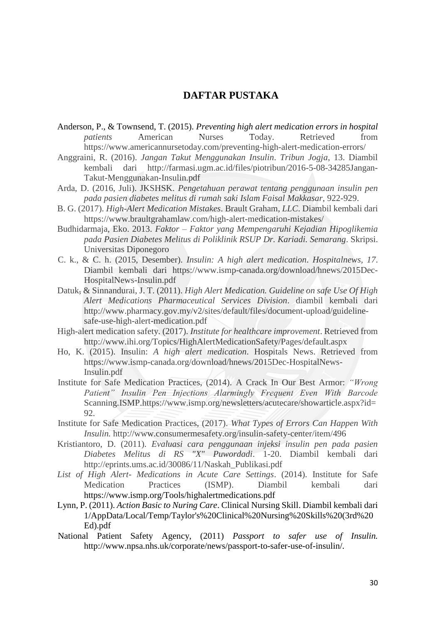## **DAFTAR PUSTAKA**

- Anderson, P., & Townsend, T. (2015). *Preventing high alert medication errors in hospital patients* American Nurses Today. Retrieved from https://www.americannursetoday.com/preventing-high-alert-medication-errors/
- Anggraini, R. (2016). *Jangan Takut Menggunakan Insulin*. *Tribun Jogja*, 13. Diambil kembali dari [http://farmasi.ugm.ac.id/files/piotribun/2016-5-08-34285Jangan-](http://farmasi.ugm.ac.id/files/piotribun/2016-5-08-34285Jangan-Takut-Menggunakan-Insulin.pdf)[Takut-Menggunakan-Insulin.pdf](http://farmasi.ugm.ac.id/files/piotribun/2016-5-08-34285Jangan-Takut-Menggunakan-Insulin.pdf)
- Arda, D. (2016, Juli). JKSHSK. *Pengetahuan perawat tentang penggunaan insulin pen pada pasien diabetes melitus di rumah saki Islam Faisal Makkasar*, 922-929.
- B. G. (2017). *High-Alert Medication Mistakes*. Brault Graham*, LLC*. Diambil kembali dari <https://www.braultgrahamlaw.com/high-alert-medication-mistakes/>
- Budhidarmaja, Eko. 2013. *Faktor – Faktor yang Mempengaruhi Kejadian Hipoglikemia pada Pasien Diabetes Melitus di Poliklinik RSUP Dr. Kariadi. Semarang*. Skripsi. Universitas Diponegoro
- C. k., & C. h. (2015, Desember). *Insulin: A high alert medication*. *Hospitalnews, 17*. Diambil kembali dari https://www.ismp-canada.org/download/hnews/2015Dec-HospitalNews-Insulin.pdf
- Datuk, & Sinnandurai, J. T. (2011). *High Alert Medication. Guideline on safe Use Of High Alert Medications Pharmaceutical Services Division*. diambil kembali dari http://www.pharmacy.gov.my/v2/sites/default/files/document-upload/guidelinesafe-use-high-alert-medication.pdf
- High-alert medication safety. (2017). *Institute for healthcare improvement*. Retrieved from <http://www.ihi.org/Topics/HighAlertMedicationSafety/Pages/default.aspx>
- Ho, K. (2015). Insulin: *A high alert medication*. Hospitals News. Retrieved from https://www.ismp-canada.org/download/hnews/2015Dec-HospitalNews-Insulin.pdf
- Institute for Safe Medication Practices, (2014). A Crack In Our Best Armor: *"Wrong Patient" Insulin Pen Injections Alarmingly Frequent Even With Barcode*  Scanning.ISMP.https://www.ismp.org/newsletters/acutecare/showarticle.aspx?id= 92.
- Institute for Safe Medication Practices, (2017). *What Types of Errors Can Happen With Insulin.* http://www.consumermesafety.org/insulin-safety-center/item/496
- Kristiantoro, D. (2011). *Evaluasi cara penggunaan injeksi insulin pen pada pasien Diabetes Melitus di RS "X" Puwordadi*. 1-20. Diambil kembali dari [http://eprints.ums.ac.id/30086/11/Naskah\\_Publikasi.pdf](http://eprints.ums.ac.id/30086/11/Naskah_Publikasi.pdf)
- *List of High Alert- Medications in Acute Care Settings*. (2014). Institute for Safe Medication Practices (ISMP). Diambil kembali dari https://www.ismp.org/Tools/highalertmedications.pdf
- Lynn, P. (2011). *Action Basic to Nuring Care*. Clinical Nursing Skill. Diambil kembali dari 1/AppData/Local/Temp/Taylor's%20Clinical%20Nursing%20Skills%20(3rd%20 Ed).pdf
- National Patient Safety Agency, (2011) *Passport to safer use of Insulin.*  <http://www.npsa.nhs.uk/corporate/news/passport-to-safer-use-of-insulin/>*.*